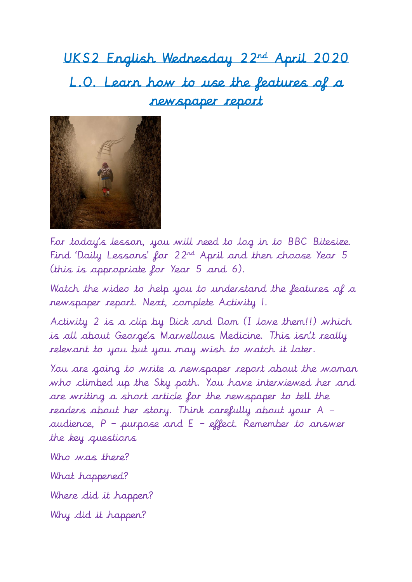UKS2 English Wednesday 22nd April 2020 L.O. Learn how to use the features of a newspaper report



For today's lesson, you will need to log in to BBC Bitesize. Find 'Daily Lessons' for 22nd April and then choose Year 5 (this is appropriate for Year 5 and 6).

Watch the video to help you to understand the features of a newspaper report. Next, complete Activity 1.

Activity 2 is a clip by Dick and Dom (I love them!!) which is all about George's Marvellous Medicine. This isn't really relevant to you but you may wish to watch it later.

You are going to write a newspaper report about the woman who climbed up the Sky path. You have interviewed her and are writing a short article for the newspaper to tell the readers about her story. Think carefully about your A – audience,  $P$  – purpose and  $E$  – effect. Remember to answer the key questions

Who was there? What happened? Where did it happen?

Why did it happen?